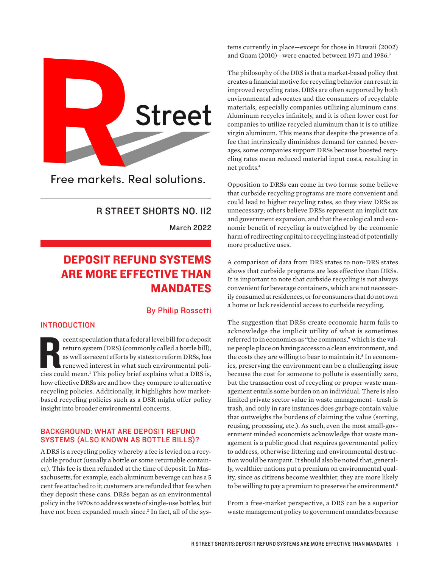<span id="page-0-0"></span>

Free markets, Real solutions.

# R STREET SHORTS NO. 112

March 2022

# DEPOSIT REFUND SYSTEMS ARE MORE EFFECTIVE THAN MANDATES

# By Philip Rossetti

# INTRODUCTION

ecent speculation that a federal level bill for a deposit<br>return system (DRS) (commonly called a bottle bill),<br>as well as recent efforts by states to reform DRSs, has<br>renewed interest in what such environmental poli-<br>cies ecent speculation that a federal level bill for a deposit return system (DRS) (commonly called a bottle bill), as well as recent efforts by states to reform DRSs, has renewed interest in what such environmental polihow effective DRSs are and how they compare to alternative recycling policies. Additionally, it highlights how marketbased recycling policies such as a DSR might offer policy insight into broader environmental concerns.

# BACKGROUND: WHAT ARE DEPOSIT REFUND SYSTEMS (ALSO KNOWN AS BOTTLE BILLS)?

A DRS is a recycling policy whereby a fee is levied on a recyclable product (usually a bottle or some returnable container). This fee is then refunded at the time of deposit. In Massachusetts, for example, each aluminum beverage can has a 5 cent fee attached to it; customers are refunded that fee when they deposit these cans. DRSs began as an environmental policy in the 1970s to address waste of single-use bottles, but have not been expanded much since.<sup>2</sup> In fact, all of the sys-

tems currently in place—except for those in Hawaii (2002) and Guam (2010)—were enacted between 1971 and 1986.<sup>3</sup>

The philosophy of the DRS is that a market-based policy that creates a financial motive for recycling behavior can result in improved recycling rates. DRSs are often supported by both environmental advocates and the consumers of recyclable materials, especially companies utilizing aluminum cans. Aluminum recycles infinitely, and it is often lower cost for companies to utilize recycled aluminum than it is to utilize virgin aluminum. This means that despite the presence of a fee that intrinsically diminishes demand for canned beverages, some companies support DRSs because boosted recycling rates mean reduced material input costs, resulting in net profits[.4](#page-4-0)

Opposition to DRSs can come in two forms: some believe that curbside recycling programs are more convenient and could lead to higher recycling rates, so they view DRSs as unnecessary; others believe DRSs represent an implicit tax and government expansion, and that the ecological and economic benefit of recycling is outweighed by the economic harm of redirecting capital to recycling instead of potentially more productive uses.

A comparison of data from DRS states to non-DRS states shows that curbside programs are less effective than DRSs. It is important to note that curbside recycling is not always convenient for beverage containers, which are not necessarily consumed at residences, or for consumers that do not own a home or lack residential access to curbside recycling.

The suggestion that DRSs create economic harm fails to acknowledge the implicit utility of what is sometimes referred to in economics as "the commons," which is the value people place on having access to a clean environment, and the costs they are willing to bear to maintain it.<sup>5</sup> In economics, preserving the environment can be a challenging issue because the cost for someone to pollute is essentially zero, but the transaction cost of recycling or proper waste management entails some burden on an individual. There is also limited private sector value in waste management—trash is trash, and only in rare instances does garbage contain value that outweighs the burdens of claiming the value (sorting, reusing, processing, etc.). As such, even the most small-government minded economists acknowledge that waste management is a public good that requires governmental policy to address, otherwise littering and environmental destruction would be rampant. It should also be noted that, generally, wealthier nations put a premium on environmental quality, since as citizens become wealthier, they are more likely to be willing to pay a premium to preserve the environment.<sup>6</sup>

From a free-market perspective, a DRS can be a superior waste management policy to government mandates because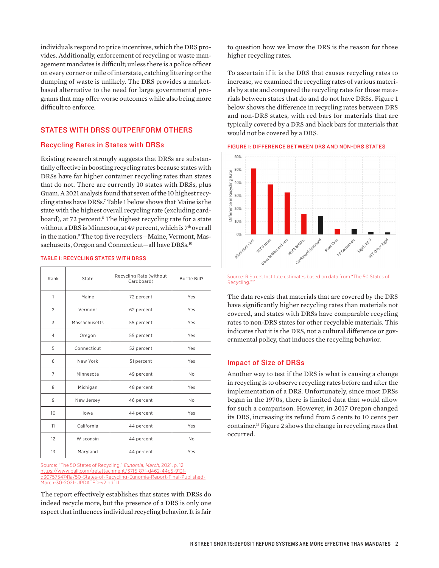<span id="page-1-0"></span>individuals respond to price incentives, which the DRS provides. Additionally, enforcement of recycling or waste management mandates is difficult; unless there is a police officer on every corner or mile of interstate, catching littering or the dumping of waste is unlikely. The DRS provides a marketbased alternative to the need for large governmental programs that may offer worse outcomes while also being more difficult to enforce.

# STATES WITH DRSS OUTPERFORM OTHERS

### Recycling Rates in States with DRSs

Existing research strongly suggests that DRSs are substantially effective in boosting recycling rates because states with DRSs have far higher container recycling rates than states that do not. There are currently 10 states with DRSs, plus Guam. A 2021 analysis found that seven of the 10 highest recycling states have DRSs[.7](#page-4-0) Table 1 below shows that Maine is the state with the highest overall recycling rate (excluding cardboard), at 72 percent.<sup>8</sup> The highest recycling rate for a state without a DRS is Minnesota, at 49 percent, which is 7<sup>th</sup> overall in the nation.[9](#page-4-0) The top five recyclers—Maine, Vermont, Massachusetts, Oregon and Connecticut-all have DRSs.<sup>10</sup>

| Rank           | State         | Recycling Rate (without<br>Cardboard) | Bottle Bill?   |
|----------------|---------------|---------------------------------------|----------------|
| 1              | Maine         | 72 percent                            | Yes            |
| $\overline{2}$ | Vermont       | 62 percent                            | Yes            |
| 3              | Massachusetts | 55 percent                            | Yes            |
| $\overline{4}$ | Oregon        | 55 percent                            | Yes            |
| 5              | Connecticut   | 52 percent                            | Yes            |
| 6              | New York      | 51 percent                            | Yes            |
| $\overline{7}$ | Minnesota     | 49 percent                            | N <sub>o</sub> |
| 8              | Michigan      | 48 percent                            | Yes            |
| 9              | New Jersey    | 46 percent                            | No             |
| 10             | lowa          | 44 percent                            | Yes            |
| 11             | California    | 44 percent                            | Yes            |
| 12             | Wisconsin     | 44 percent                            | N <sub>o</sub> |
| 13             | Maryland      | 44 percent                            | Yes            |

#### TABLE 1: RECYCLING STATES WITH DRSS

Source: "The 50 States of Recycling," *Eunomia, March*, 2021, p. 12. [https://www.ball.com/getattachment/37f5f87f-d462-44c5-913f-](https://www.ball.com/getattachment/37f5f87f-d462-44c5-913f-d3075754741a/50-States-of-Recycling-Eunomia-Report-Final-Published-March-30-2021-UPDATED-v2.pdf)54741a/50-States-of-Recycling-Eunomia-Report-Final-Published-[March-30-2021-UPDATED-v2.pdf](https://www.ball.com/getattachment/37f5f87f-d462-44c5-913f-d3075754741a/50-States-of-Recycling-Eunomia-Report-Final-Published-March-30-2021-UPDATED-v2.pdf)[.11.](#page-4-0)

The report effectively establishes that states with DRSs do indeed recycle more, but the presence of a DRS is only one aspect that influences individual recycling behavior. It is fair

to question how we know the DRS is the reason for those higher recycling rates.

To ascertain if it is the DRS that causes recycling rates to increase, we examined the recycling rates of various materials by state and compared the recycling rates for those materials between states that do and do not have DRSs. Figure 1 below shows the difference in recycling rates between DRS and non-DRS states, with red bars for materials that are typically covered by a DRS and black bars for materials that would not be covered by a DRS.

### FIGURE 1: DIFFERENCE BETWEEN DRS AND NON-DRS STATES



Source: R Street Institute estimates based on data from "The 50 States of Recycling."

The data reveals that materials that are covered by the DRS have significantly higher recycling rates than materials not covered, and states with DRSs have comparable recycling rates to non-DRS states for other recyclable materials. This indicates that it is the DRS, not a cultural difference or governmental policy, that induces the recycling behavior.

### Impact of Size of DRSs

Another way to test if the DRS is what is causing a change in recycling is to observe recycling rates before and after the implementation of a DRS. Unfortunately, since most DRSs began in the 1970s, there is limited data that would allow for such a comparison. However, in 2017 Oregon changed its DRS, increasing its refund from 5 cents to 10 cents per container[.13](#page-4-0) Figure 2 shows the change in recycling rates that occurred.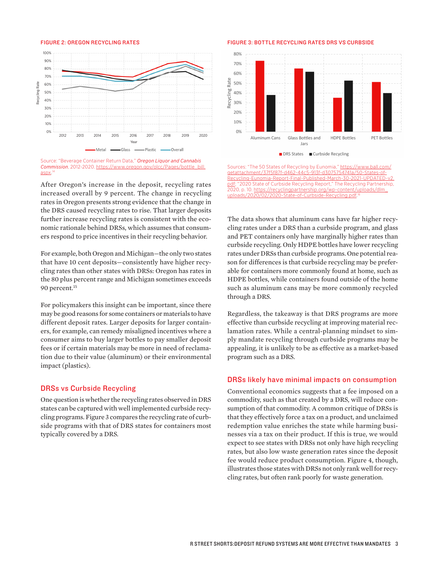#### FIGURE 2: OREGON RECYCLING RATES

<span id="page-2-0"></span>

Source: "Beverage Container Return Data," *Oregon Liquor and Cannabis*  **Commission**, 2012-2020. https://www.oregon.gov/olc [aspx](https://www.oregon.gov/olcc/Pages/bottle_bill.aspx). [14](#page-4-0)

After Oregon's increase in the deposit, recycling rates increased overall by 9 percent. The change in recycling rates in Oregon presents strong evidence that the change in the DRS caused recycling rates to rise. That larger deposits further increase recycling rates is consistent with the economic rationale behind DRSs, which assumes that consumers respond to price incentives in their recycling behavior.

For example, both Oregon and Michigan—the only two states that have 10 cent deposits—consistently have higher recycling rates than other states with DRSs: Oregon has rates in the 80 plus percent range and Michigan sometimes exceeds 90 percent.<sup>[15](#page-4-0)</sup>

For policymakers this insight can be important, since there may be good reasons for some containers or materials to have different deposit rates. Larger deposits for larger containers, for example, can remedy misaligned incentives where a consumer aims to buy larger bottles to pay smaller deposit fees or if certain materials may be more in need of reclamation due to their value (aluminum) or their environmental impact (plastics).

### DRSs vs Curbside Recycling

One question is whether the recycling rates observed in DRS states can be captured with well implemented curbside recycling programs. Figure 3 compares the recycling rate of curbside programs with that of DRS states for containers most typically covered by a DRS.

#### FIGURE 3: BOTTLE RECYCLING RATES DRS VS CURBSIDE



Sources: "The 50 States of Recycling by Eunomia," [https://www.ball.com/](https://www.ball.com/getattachment/37f5f87f-d462-44c5-913f-d3075754741a/50-States-of-Recycling-Eunomia-Report-Final-Published-March-30-2021-UPDATED-v2.pdf) [getattachment/37f5f87f-d462-44c5-913f-d3075754741a/50-States-of-](https://www.ball.com/getattachment/37f5f87f-d462-44c5-913f-d3075754741a/50-States-of-Recycling-Eunomia-Report-Final-Published-March-30-2021-UPDATED-v2.pdf)[Recycling-Eunomia-Report-Final-Published-March-30-2021-UPDATED-v2.](https://www.ball.com/getattachment/37f5f87f-d462-44c5-913f-d3075754741a/50-States-of-Recycling-Eunomia-Report-Final-Published-March-30-2021-UPDATED-v2.pdf) [pdf](https://www.ball.com/getattachment/37f5f87f-d462-44c5-913f-d3075754741a/50-States-of-Recycling-Eunomia-Report-Final-Published-March-30-2021-UPDATED-v2.pdf); "2020 State of Curbside Recycling Report," The Recycling Partnership, 2020, p. 10. [https://recyclingpartnership.org/wp-content/uploads/dlm\\_](https://recyclingpartnership.org/wp-content/uploads/dlm_uploads/2020/02/2020-State-of-Curbside-Recycling.pdf) [uploads/2020/02/2020-State-of-Curbside-Recycling.pdf](https://recyclingpartnership.org/wp-content/uploads/dlm_uploads/2020/02/2020-State-of-Curbside-Recycling.pdf). [16](#page-4-0)

The data shows that aluminum cans have far higher recycling rates under a DRS than a curbside program, and glass and PET containers only have marginally higher rates than curbside recycling. Only HDPE bottles have lower recycling rates under DRSs than curbside programs. One potential reason for differences is that curbside recycling may be preferable for containers more commonly found at home, such as HDPE bottles, while containers found outside of the home such as aluminum cans may be more commonly recycled through a DRS.

Regardless, the takeaway is that DRS programs are more effective than curbside recycling at improving material reclamation rates. While a central-planning mindset to simply mandate recycling through curbside programs may be appealing, it is unlikely to be as effective as a market-based program such as a DRS.

### DRSs likely have minimal impacts on consumption

Conventional economics suggests that a fee imposed on a commodity, such as that created by a DRS, will reduce consumption of that commodity. A common critique of DRSs is that they effectively force a tax on a product, and unclaimed redemption value enriches the state while harming businesses via a tax on their product. If this is true, we would expect to see states with DRSs not only have high recycling rates, but also low waste generation rates since the deposit fee would reduce product consumption. Figure 4, though, illustrates those states with DRSs not only rank well for recycling rates, but often rank poorly for waste generation.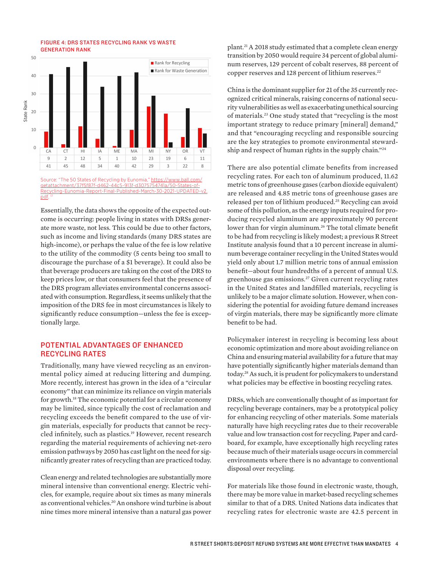<span id="page-3-0"></span>FIGURE 4: DRS STATES RECYCLING RANK VS WASTE GENERATION RANK



getattachment/37f5f87f-d462-44c5-913f-d3075 unomia-Report-Final-Published-March[pdf](https://www.ball.com/getattachment/37f5f87f-d462-44c5-913f-d3075754741a/50-States-of-Recycling-Eunomia-Report-Final-Published-March-30-2021-UPDATED-v2.pdf). [17](#page-4-0)

Essentially, the data shows the opposite of the expected outcome is occurring: people living in states with DRSs generate more waste, not less. This could be due to other factors, such as income and living standards (many DRS states are high-income), or perhaps the value of the fee is low relative to the utility of the commodity (5 cents being too small to discourage the purchase of a \$1 beverage). It could also be that beverage producers are taking on the cost of the DRS to keep prices low, or that consumers feel that the presence of the DRS program alleviates environmental concerns associated with consumption. Regardless, it seems unlikely that the imposition of the DRS fee in most circumstances is likely to significantly reduce consumption—unless the fee is exceptionally large.

# POTENTIAL ADVANTAGES OF ENHANCED RECYCLING RATES

Traditionally, many have viewed recycling as an environmental policy aimed at reducing littering and dumping. More recently, interest has grown in the idea of a "circular economy" that can minimize its reliance on virgin materials for growth.[18](#page-4-0) The economic potential for a circular economy may be limited, since typically the cost of reclamation and recycling exceeds the benefit compared to the use of virgin materials, especially for products that cannot be recycled infinitely, such as plastics.<sup>19</sup> However, recent research regarding the material requirements of achieving net-zero emission pathways by 2050 has cast light on the need for significantly greater rates of recycling than are practiced today.

Clean energy and related technologies are substantially more mineral intensive than conventional energy. Electric vehicles, for example, require about six times as many minerals as conventional vehicles.<sup>20</sup> An onshore wind turbine is about nine times more mineral intensive than a natural gas power

plant[.21](#page-4-0) A 2018 study estimated that a complete clean energy transition by 2050 would require 34 percent of global aluminum reserves, 129 percent of cobalt reserves, 88 percent of copper reserves and 128 percent of lithium reserves.<sup>[22](#page-4-0)</sup>

China is the dominant supplier for 21 of the 35 currently recognized critical minerals, raising concerns of national security vulnerabilities as well as exacerbating unethical sourcing of materials[.23](#page-4-0) One study stated that "recycling is the most important strategy to reduce primary [mineral] demand," and that "encouraging recycling and responsible sourcing are the key strategies to promote environmental stewardship and respect of human rights in the supply chain."[24](#page-4-0)

There are also potential climate benefits from increased recycling rates. For each ton of aluminum produced, 11.62 metric tons of greenhouse gases (carbon dioxide equivalent) are released and 4.85 metric tons of greenhouse gases are released per ton of lithium produced.[25](#page-4-0) Recycling can avoid some of this pollution, as the energy inputs required for producing recycled aluminum are approximately 90 percent lower than for virgin aluminum.<sup>26</sup> The total climate benefit to be had from recycling is likely modest; a previous R Street Institute analysis found that a 10 percent increase in aluminum beverage container recycling in the United States would yield only about 1.7 million metric tons of annual emission benefit—about four hundredths of a percent of annual U.S. greenhouse gas emissions.<sup>27</sup> Given current recycling rates in the United States and landfilled materials, recycling is unlikely to be a major climate solution. However, when considering the potential for avoiding future demand increases of virgin materials, there may be significantly more climate benefit to be had.

Policymaker interest in recycling is becoming less about economic optimization and more about avoiding reliance on China and ensuring material availability for a future that may have potentially significantly higher materials demand than today.[28](#page-4-0) As such, it is prudent for policymakers to understand what policies may be effective in boosting recycling rates.

DRSs, which are conventionally thought of as important for recycling beverage containers, may be a prototypical policy for enhancing recycling of other materials. Some materials naturally have high recycling rates due to their recoverable value and low transaction cost for recycling. Paper and cardboard, for example, have exceptionally high recycling rates because much of their materials usage occurs in commercial environments where there is no advantage to conventional disposal over recycling.

For materials like those found in electronic waste, though, there may be more value in market-based recycling schemes similar to that of a DRS. United Nations data indicates that recycling rates for electronic waste are 42.5 percent in